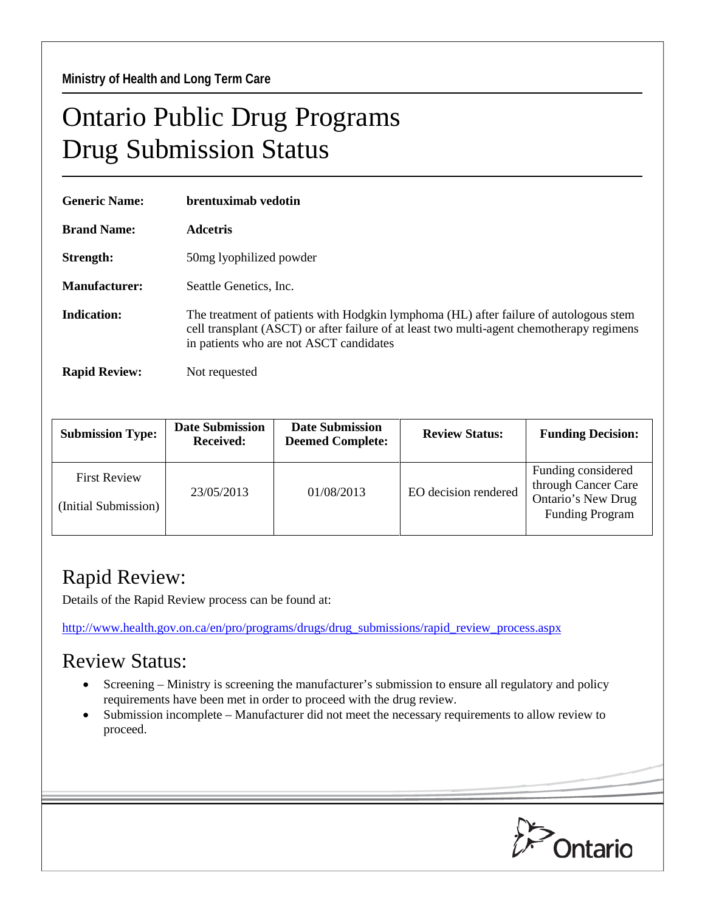## Ontario Public Drug Programs Drug Submission Status

| <b>Generic Name:</b> | brentuximab vedotin                                                                                                                                                                                                           |  |  |  |
|----------------------|-------------------------------------------------------------------------------------------------------------------------------------------------------------------------------------------------------------------------------|--|--|--|
| <b>Brand Name:</b>   | Adcetris                                                                                                                                                                                                                      |  |  |  |
| Strength:            | 50 mg lyophilized powder                                                                                                                                                                                                      |  |  |  |
| <b>Manufacturer:</b> | Seattle Genetics, Inc.                                                                                                                                                                                                        |  |  |  |
| Indication:          | The treatment of patients with Hodgkin lymphoma (HL) after failure of autologous stem<br>cell transplant (ASCT) or after failure of at least two multi-agent chemotherapy regimens<br>in patients who are not ASCT candidates |  |  |  |
| <b>Rapid Review:</b> | Not requested                                                                                                                                                                                                                 |  |  |  |

| <b>Submission Type:</b>                     | <b>Date Submission</b><br><b>Received:</b> | <b>Date Submission</b><br><b>Deemed Complete:</b> | <b>Review Status:</b> | <b>Funding Decision:</b>                                                                  |
|---------------------------------------------|--------------------------------------------|---------------------------------------------------|-----------------------|-------------------------------------------------------------------------------------------|
| <b>First Review</b><br>(Initial Submission) | 23/05/2013                                 | 01/08/2013                                        | EO decision rendered  | Funding considered<br>through Cancer Care<br>Ontario's New Drug<br><b>Funding Program</b> |

## Rapid Review:

Details of the Rapid Review process can be found at:

[http://www.health.gov.on.ca/en/pro/programs/drugs/drug\\_submissions/rapid\\_review\\_process.aspx](http://www.health.gov.on.ca/en/pro/programs/drugs/drug_submissions/rapid_review_process.aspx)

## Review Status:

- Screening Ministry is screening the manufacturer's submission to ensure all regulatory and policy requirements have been met in order to proceed with the drug review.
- Submission incomplete Manufacturer did not meet the necessary requirements to allow review to proceed.